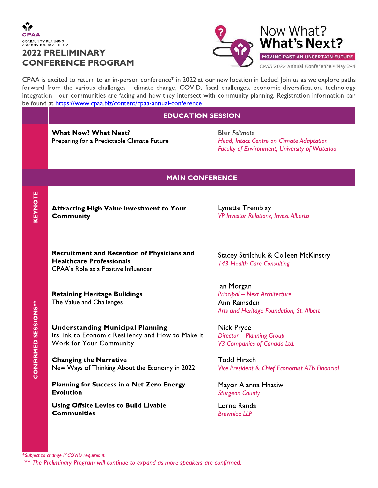**KEYNOTE** 

**CONFIRMED SESSIONS\*\*** 

# **2022 PRELIMINARY CONFERENCE PROGRAM**



Now What? **What's Next?** MOVING PAST AN UNCERTAIN FUTURE CPAA 2022 Annual Conference . May 2-4

CPAA is excited to return to an in-person conference\* in 2022 at our new location in Leduc! Join us as we explore paths forward from the various challenges - climate change, COVID, fiscal challenges, economic diversification, technology integration - our communities are facing and how they intersect with community planning. Registration information can be found at https://www.cpaa.biz/content/cpaa-annual-conference

### **EDUCATION SESSION**

**What Now? What Next?** Preparing for a Predictable Climate Future

**Blair Feltmate** Head, Intact Centre on Climate Adaptation **Faculty of Environment, University of Waterloo** 

### **MAIN CONFERENCE**

**Attracting High Value Investment to Your Community** 

Lynette Tremblay **VP Investor Relations, Invest Alberta** 

**Recruitment and Retention of Physicians and Healthcare Professionals** CPAA's Role as a Positive Influencer

**Retaining Heritage Buildings** The Value and Challenges

**Understanding Municipal Planning** Its link to Economic Resiliency and How to Make it **Work for Your Community** 

**Changing the Narrative** New Ways of Thinking About the Economy in 2022

Planning for Success in a Net Zero Energy **Evolution** 

**Using Offsite Levies to Build Livable Communities** 

Stacey Strilchuk & Colleen McKinstry 143 Health Care Consulting

lan Morgan **Principal - Next Architecture** Ann Ramsden Arts and Heritage Foundation, St. Albert

**Nick Pryce Director - Planning Group** V3 Companies of Canada Ltd.

**Todd Hirsch Vice President & Chief Economist ATB Financial** 

Mayor Alanna Hnatiw **Sturgeon County** 

Lorne Randa **Brownlee IIP**